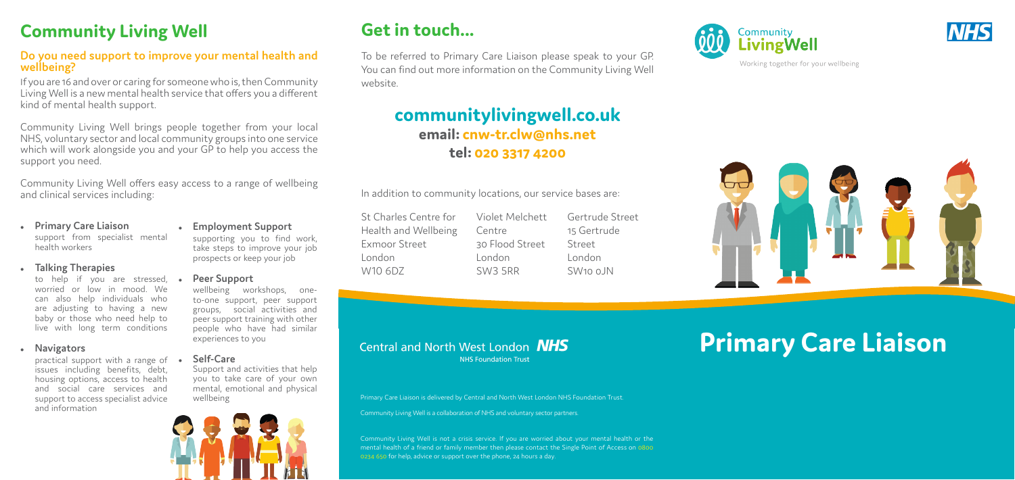### **Get in touch...**

To be referred to Primary Care Liaison please speak to your GP. You can find out more information on the Community Living Well website.

### **communitylivingwell.co.uk email: cnw-tr.clw@nhs.net tel: 020 3317 4200**

Gertrude Street 15 Gertrude Street London  $SW100$   $N$ 



In addition to community locations, our service bases are:

# **Primary Care Liaison**

St Charles Centre for Health and Wellbeing Exmoor Street London W10 6DZ

Violet Melchett Centre 30 Flood Street London SW3 5RR

 $\mathbf{f}(\mathbf{f}(\mathbf{f}) = \mathbf{f}(\mathbf{f}(\mathbf{f}(\mathbf{f}(\mathbf{f}(\mathbf{f}(\mathbf{f}(\mathbf{f}(\mathbf{f}(\mathbf{f}(\mathbf{f}(\mathbf{f}(\mathbf{f}(\mathbf{f}(\mathbf{f}(\mathbf{f}(\mathbf{f}(\mathbf{f}(\mathbf{f}(\mathbf{f}(\mathbf{f}(\mathbf{f}(\mathbf{f}(\mathbf{f}(\mathbf{f}(\mathbf{f}(\mathbf{f}(\mathbf{f}(\mathbf{f}(\mathbf{f}(\mathbf{f}(\mathbf{f}(\mathbf{f}(\mathbf$ Community Living Well is not a crisis service. If you are worried about your mental health or the mental health of a friend or family member then please contact the Single Point of Access on 0800 0234 650 for help, advice or support over the phone, 24 hours a day.







Working together for your wellbeing

Primary Care Liaison is delivered by Central and North West London NHS Foundation Trust.

Community Living Well is a collaboration of NHS and voluntary sector partners.

## **Community Living Well**

#### **Do you need support to improve your mental health and wellbeing?**

practical support with a range of • issues including benefits, debt, housing options, access to health and social care services and support to access specialist advice and information

If you are 16 and over or caring for someone who is, then Community Living Well is a new mental health service that offers you a different kind of mental health support.

Community Living Well brings people together from your local NHS, voluntary sector and local community groups into one service which will work alongside you and your GP to help you access the support you need.

Community Living Well offers easy access to a range of wellbeing and clinical services including:

#### <sup>z</sup> **Primary Care Liaison** support from specialist mental health workers

#### **Talking Therapies**

to help if you are stressed, worried or low in mood. We can also help individuals who are adjusting to having a new baby or those who need help to live with long term conditions

#### **•** Navigators

#### <sup>z</sup> **Employment Support**

supporting you to find work, take steps to improve your job prospects or keep your job

#### **Peer Support**

wellbeing workshops, oneto-one support, peer support groups, social activities and peer support training with other people who have had similar experiences to you

#### <sup>z</sup> **Self-Care**

Support and activities that help you to take care of your own mental, emotional and physical wellbeing



#### Central and North West London **NHS NHS Foundation Trust**